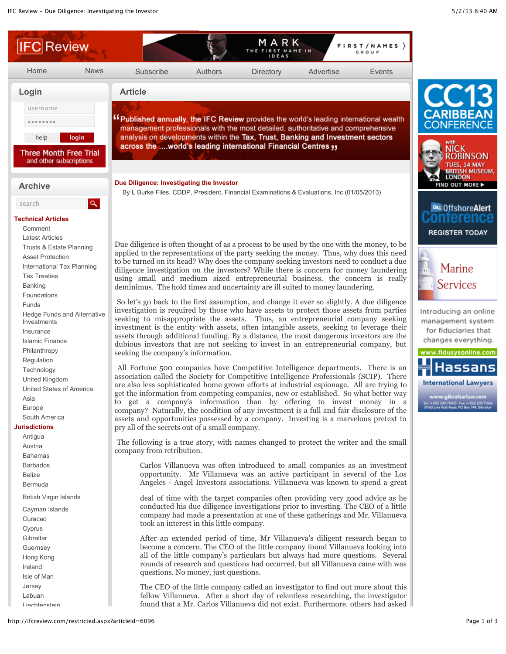